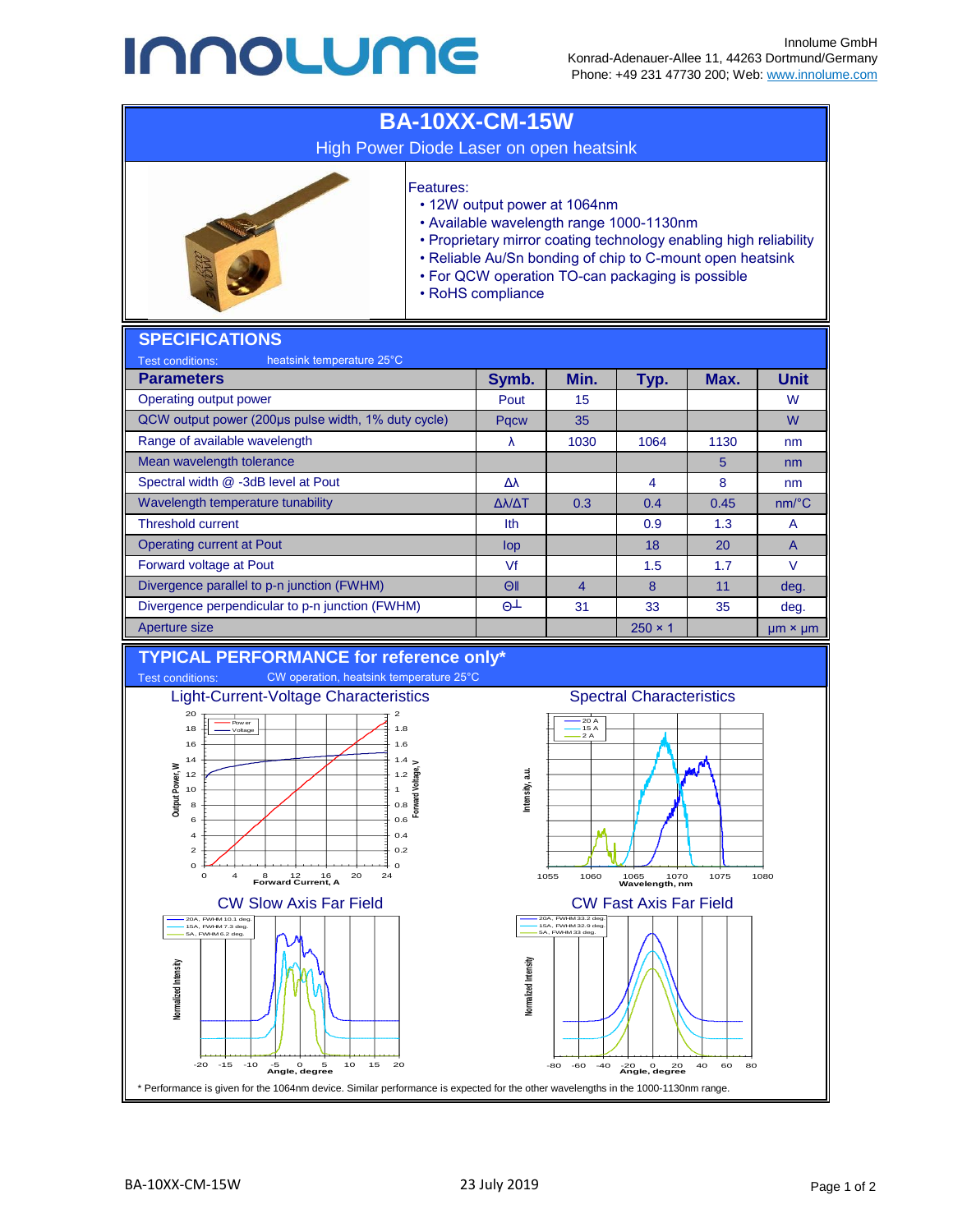## **INNOLUME**